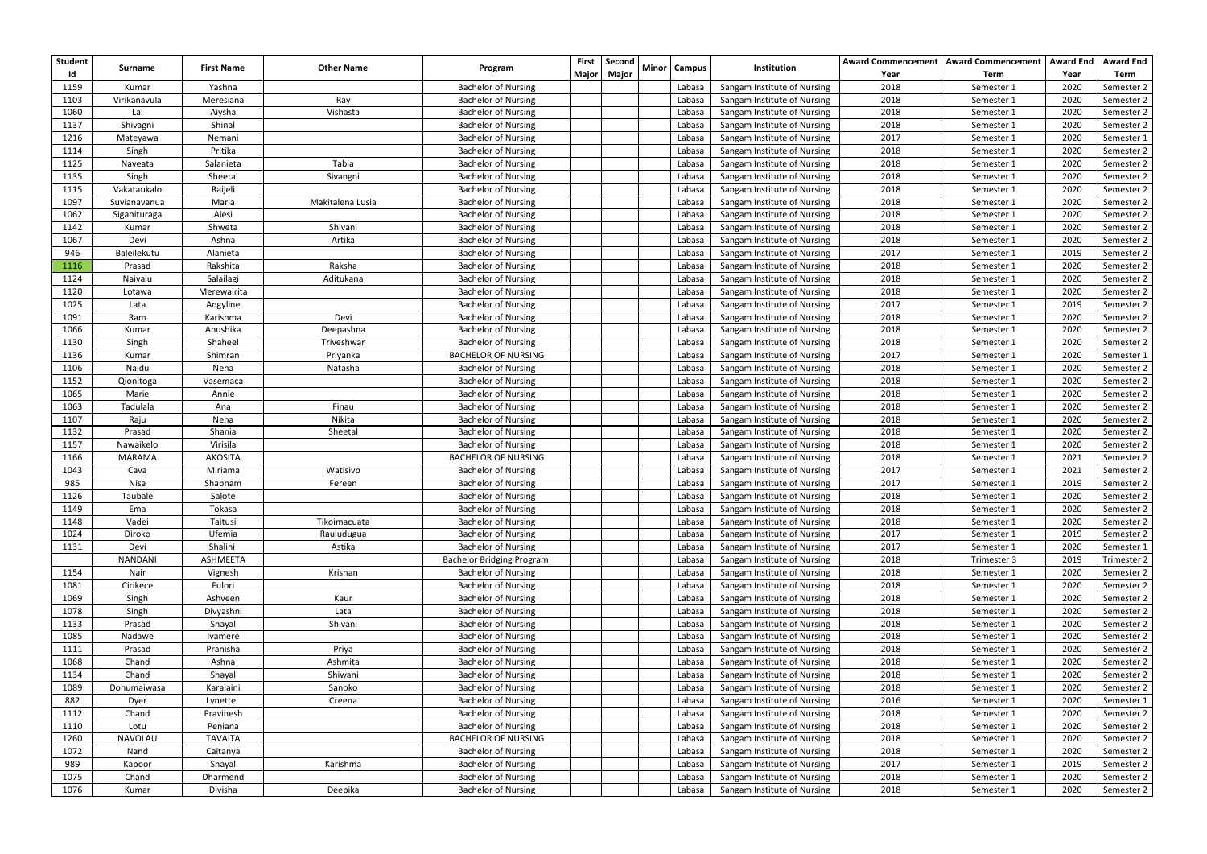| <b>Student</b> |                |                   |                   |                                  | <b>First</b> | Second | <b>Minor</b> |               | Institution                 |      | Award Commencement   Award Commencement   Award End |      | <b>Award End</b> |
|----------------|----------------|-------------------|-------------------|----------------------------------|--------------|--------|--------------|---------------|-----------------------------|------|-----------------------------------------------------|------|------------------|
|                | Surname        | <b>First Name</b> | <b>Other Name</b> | Program                          | <b>Major</b> | Major  |              | <b>Campus</b> |                             | Year | Term                                                | Year | Term             |
| 1159           | Kumar          | Yashna            |                   | <b>Bachelor of Nursing</b>       |              |        |              | Labasa        | Sangam Institute of Nursing | 2018 | Semester 1                                          | 2020 | Semester 2       |
| 1103           | Virikanavula   | Meresiana         | Ray               | <b>Bachelor of Nursing</b>       |              |        |              | Labasa        | Sangam Institute of Nursing | 2018 | Semester 1                                          | 2020 | Semester 2       |
| 1060           | Lal            | Aiysha            | Vishasta          | <b>Bachelor of Nursing</b>       |              |        |              | Labasa        | Sangam Institute of Nursing | 2018 | Semester 1                                          | 2020 | Semester 2       |
| 1137           | Shivagni       | Shinal            |                   | <b>Bachelor of Nursing</b>       |              |        |              | Labasa        | Sangam Institute of Nursing | 2018 | Semester 1                                          | 2020 | Semester 2       |
| 1216           | Mateyawa       | Nemani            |                   | <b>Bachelor of Nursing</b>       |              |        |              | Labasa        | Sangam Institute of Nursing | 2017 | Semester 1                                          | 2020 | Semester 1       |
| 1114           | Singh          | Pritika           |                   | <b>Bachelor of Nursing</b>       |              |        |              | Labasa        | Sangam Institute of Nursing | 2018 | Semester 1                                          | 2020 | Semester 2       |
| 1125           | Naveata        | Salanieta         | Tabia             | <b>Bachelor of Nursing</b>       |              |        |              | Labasa        | Sangam Institute of Nursing | 2018 | Semester 1                                          | 2020 | Semester 2       |
| 1135           | Singh          | Sheetal           | Sivangni          | <b>Bachelor of Nursing</b>       |              |        |              | Labasa        | Sangam Institute of Nursing | 2018 | Semester 1                                          | 2020 | Semester 2       |
| 1115           | Vakataukalo    | Raijeli           |                   | <b>Bachelor of Nursing</b>       |              |        |              | Labasa        | Sangam Institute of Nursing | 2018 | Semester 1                                          | 2020 | Semester 2       |
| 1097           | Suvianavanua   | Maria             | Makitalena Lusia  | <b>Bachelor of Nursing</b>       |              |        |              | Labasa        | Sangam Institute of Nursing | 2018 | Semester 1                                          | 2020 | Semester 2       |
| 1062           | Siganituraga   | Alesi             |                   | <b>Bachelor of Nursing</b>       |              |        |              | Labasa        | Sangam Institute of Nursing | 2018 | Semester 1                                          | 2020 | Semester 2       |
| 1142           | Kumar          | Shweta            | Shivani           | <b>Bachelor of Nursing</b>       |              |        |              | Labasa        | Sangam Institute of Nursing | 2018 | Semester 1                                          | 2020 | Semester 2       |
| 1067           | Devi           | Ashna             | Artika            | <b>Bachelor of Nursing</b>       |              |        |              | Labasa        | Sangam Institute of Nursing | 2018 | Semester 1                                          | 2020 | Semester 2       |
| 946            | Baleilekutu    | Alanieta          |                   | <b>Bachelor of Nursing</b>       |              |        |              | Labasa        | Sangam Institute of Nursing | 2017 | Semester 1                                          | 2019 | Semester 2       |
| 1116           | Prasad         | Rakshita          | Raksha            | <b>Bachelor of Nursing</b>       |              |        |              | Labasa        | Sangam Institute of Nursing | 2018 | Semester 1                                          | 2020 | Semester 2       |
| 1124           | Naivalu        | Salailagi         | Aditukana         | <b>Bachelor of Nursing</b>       |              |        |              | Labasa        | Sangam Institute of Nursing | 2018 | Semester 1                                          | 2020 | Semester 2       |
| 1120           | Lotawa         | Merewairita       |                   | <b>Bachelor of Nursing</b>       |              |        |              | Labasa        | Sangam Institute of Nursing | 2018 | Semester 1                                          | 2020 | Semester 2       |
| 1025           | Lata           | Angyline          |                   | <b>Bachelor of Nursing</b>       |              |        |              | Labasa        | Sangam Institute of Nursing | 2017 | Semester 1                                          | 2019 | Semester 2       |
| 1091           | Ram            | Karishma          | Devi              | <b>Bachelor of Nursing</b>       |              |        |              | Labasa        | Sangam Institute of Nursing | 2018 | Semester 1                                          | 2020 | Semester 2       |
| 1066           | Kumar          | Anushika          | Deepashna         | <b>Bachelor of Nursing</b>       |              |        |              | Labasa        | Sangam Institute of Nursing | 2018 | Semester 1                                          | 2020 | Semester 2       |
| 1130           | Singh          | Shaheel           | Triveshwar        | <b>Bachelor of Nursing</b>       |              |        |              | Labasa        | Sangam Institute of Nursing | 2018 | Semester 1                                          | 2020 | Semester 2       |
| 1136           | Kumar          | Shimran           | Priyanka          | <b>BACHELOR OF NURSING</b>       |              |        |              | Labasa        | Sangam Institute of Nursing | 2017 | Semester 1                                          | 2020 | Semester 1       |
| 1106           | Naidu          | Neha              | Natasha           | <b>Bachelor of Nursing</b>       |              |        |              | Labasa        | Sangam Institute of Nursing | 2018 | Semester 1                                          | 2020 | Semester 2       |
| 1152           | Qionitoga      | Vasemaca          |                   | <b>Bachelor of Nursing</b>       |              |        |              | Labasa        | Sangam Institute of Nursing | 2018 | Semester 1                                          | 2020 | Semester 2       |
| 1065           | Marie          | Annie             |                   | <b>Bachelor of Nursing</b>       |              |        |              | Labasa        | Sangam Institute of Nursing | 2018 | Semester 1                                          | 2020 | Semester 2       |
| 1063           | Tadulala       | Ana               | Finau             | <b>Bachelor of Nursing</b>       |              |        |              | Labasa        | Sangam Institute of Nursing | 2018 | Semester 1                                          | 2020 | Semester 2       |
| 1107           | Raju           | Neha              | Nikita            | <b>Bachelor of Nursing</b>       |              |        |              | Labasa        | Sangam Institute of Nursing | 2018 | Semester 1                                          | 2020 | Semester 2       |
| 1132           | Prasad         | Shania            | Sheetal           | <b>Bachelor of Nursing</b>       |              |        |              | Labasa        | Sangam Institute of Nursing | 2018 | Semester 1                                          | 2020 | Semester 2       |
| 1157           | Nawaikelo      | Virisila          |                   | <b>Bachelor of Nursing</b>       |              |        |              | Labasa        | Sangam Institute of Nursing | 2018 | Semester 1                                          | 2020 | Semester 2       |
| 1166           | <b>MARAMA</b>  | <b>AKOSITA</b>    |                   | <b>BACHELOR OF NURSING</b>       |              |        |              | Labasa        | Sangam Institute of Nursing | 2018 | Semester 1                                          | 2021 | Semester 2       |
| 1043           | Cava           | Miriama           | Watisivo          | <b>Bachelor of Nursing</b>       |              |        |              | Labasa        | Sangam Institute of Nursing | 2017 | Semester 1                                          | 2021 | Semester 2       |
| 985            | Nisa           | Shabnam           | Fereen            | <b>Bachelor of Nursing</b>       |              |        |              | Labasa        | Sangam Institute of Nursing | 2017 | Semester 1                                          | 2019 | Semester 2       |
| 1126           | Taubale        | Salote            |                   | <b>Bachelor of Nursing</b>       |              |        |              | Labasa        | Sangam Institute of Nursing | 2018 | Semester 1                                          | 2020 | Semester 2       |
| 1149           | Ema            | Tokasa            |                   | <b>Bachelor of Nursing</b>       |              |        |              | Labasa        | Sangam Institute of Nursing | 2018 | Semester 1                                          | 2020 | Semester 2       |
| 1148           | Vadei          | Taitusi           | Tikoimacuata      | <b>Bachelor of Nursing</b>       |              |        |              | Labasa        | Sangam Institute of Nursing | 2018 | Semester 1                                          | 2020 | Semester 2       |
| 1024           | Diroko         | Ufemia            | Rauludugua        | <b>Bachelor of Nursing</b>       |              |        |              | Labasa        | Sangam Institute of Nursing | 2017 | Semester 1                                          | 2019 | Semester 2       |
| 1131           | Devi           | Shalini           | Astika            | <b>Bachelor of Nursing</b>       |              |        |              | Labasa        | Sangam Institute of Nursing | 2017 | Semester 1                                          | 2020 | Semester 1       |
|                | <b>NANDANI</b> | ASHMEETA          |                   | <b>Bachelor Bridging Program</b> |              |        |              | Labasa        | Sangam Institute of Nursing | 2018 | Trimester 3                                         | 2019 | Trimester 2      |
| 1154           | Nair           | Vignesh           | Krishan           | <b>Bachelor of Nursing</b>       |              |        |              | Labasa        | Sangam Institute of Nursing | 2018 | Semester 1                                          | 2020 | Semester 2       |
| 1081           | Cirikece       | Fulori            |                   | <b>Bachelor of Nursing</b>       |              |        |              | Labasa        | Sangam Institute of Nursing | 2018 | Semester 1                                          | 2020 | Semester 2       |
| 1069           | Singh          | Ashveen           | Kaur              | <b>Bachelor of Nursing</b>       |              |        |              | Labasa        | Sangam Institute of Nursing | 2018 | Semester 1                                          | 2020 | Semester 2       |
| 1078           | Singh          | Divyashni         | Lata              | <b>Bachelor of Nursing</b>       |              |        |              | Labasa        | Sangam Institute of Nursing | 2018 | Semester 1                                          | 2020 | Semester 2       |
| 1133           | Prasad         | Shayal            | Shivani           | <b>Bachelor of Nursing</b>       |              |        |              | Labasa        | Sangam Institute of Nursing | 2018 | Semester 1                                          | 2020 | Semester 2       |
| 1085           | Nadawe         | Ivamere           |                   | <b>Bachelor of Nursing</b>       |              |        |              | Labasa        | Sangam Institute of Nursing | 2018 | Semester 1                                          | 2020 | Semester 2       |
| 1111           | Prasad         | Pranisha          | Priya             | <b>Bachelor of Nursing</b>       |              |        |              | Labasa        | Sangam Institute of Nursing | 2018 | Semester 1                                          | 2020 | Semester 2       |
| 1068           | Chand          | Ashna             | Ashmita           | <b>Bachelor of Nursing</b>       |              |        |              | Labasa        | Sangam Institute of Nursing | 2018 | Semester 1                                          | 2020 | Semester 2       |
| 1134           | Chand          | Shayal            | Shiwani           | <b>Bachelor of Nursing</b>       |              |        |              | Labasa        | Sangam Institute of Nursing | 2018 | Semester 1                                          | 2020 | Semester 2       |
| 1089           | Donumaiwasa    | Karalaini         | Sanoko            | <b>Bachelor of Nursing</b>       |              |        |              | Labasa        | Sangam Institute of Nursing | 2018 | Semester 1                                          | 2020 | Semester 2       |
| 882            | Dyer           | Lynette           | Creena            | <b>Bachelor of Nursing</b>       |              |        |              | Labasa        | Sangam Institute of Nursing | 2016 | Semester 1                                          | 2020 | Semester 1       |
| 1112           | Chand          | Pravinesh         |                   | <b>Bachelor of Nursing</b>       |              |        |              | Labasa        | Sangam Institute of Nursing | 2018 | Semester 1                                          | 2020 | Semester 2       |
| 1110           | Lotu           | Peniana           |                   | <b>Bachelor of Nursing</b>       |              |        |              | Labasa        | Sangam Institute of Nursing | 2018 | Semester 1                                          | 2020 | Semester 2       |
| 1260           | NAVOLAU        | <b>TAVAITA</b>    |                   | <b>BACHELOR OF NURSING</b>       |              |        |              | Labasa        | Sangam Institute of Nursing | 2018 | Semester 1                                          | 2020 | Semester 2       |
| 1072           | Nand           | Caitanya          |                   | <b>Bachelor of Nursing</b>       |              |        |              | Labasa        | Sangam Institute of Nursing | 2018 | Semester 1                                          | 2020 | Semester 2       |
| 989            | Kapoor         | Shayal            | Karishma          | <b>Bachelor of Nursing</b>       |              |        |              | Labasa        | Sangam Institute of Nursing | 2017 | Semester 1                                          | 2019 | Semester 2       |
| 1075           | Chand          | Dharmend          |                   | <b>Bachelor of Nursing</b>       |              |        |              | Labasa        | Sangam Institute of Nursing | 2018 | Semester 1                                          | 2020 | Semester 2       |
| 1076           | Kumar          | Divisha           | Deepika           | <b>Bachelor of Nursing</b>       |              |        |              | Labasa        | Sangam Institute of Nursing | 2018 | Semester 1                                          | 2020 | Semester 2       |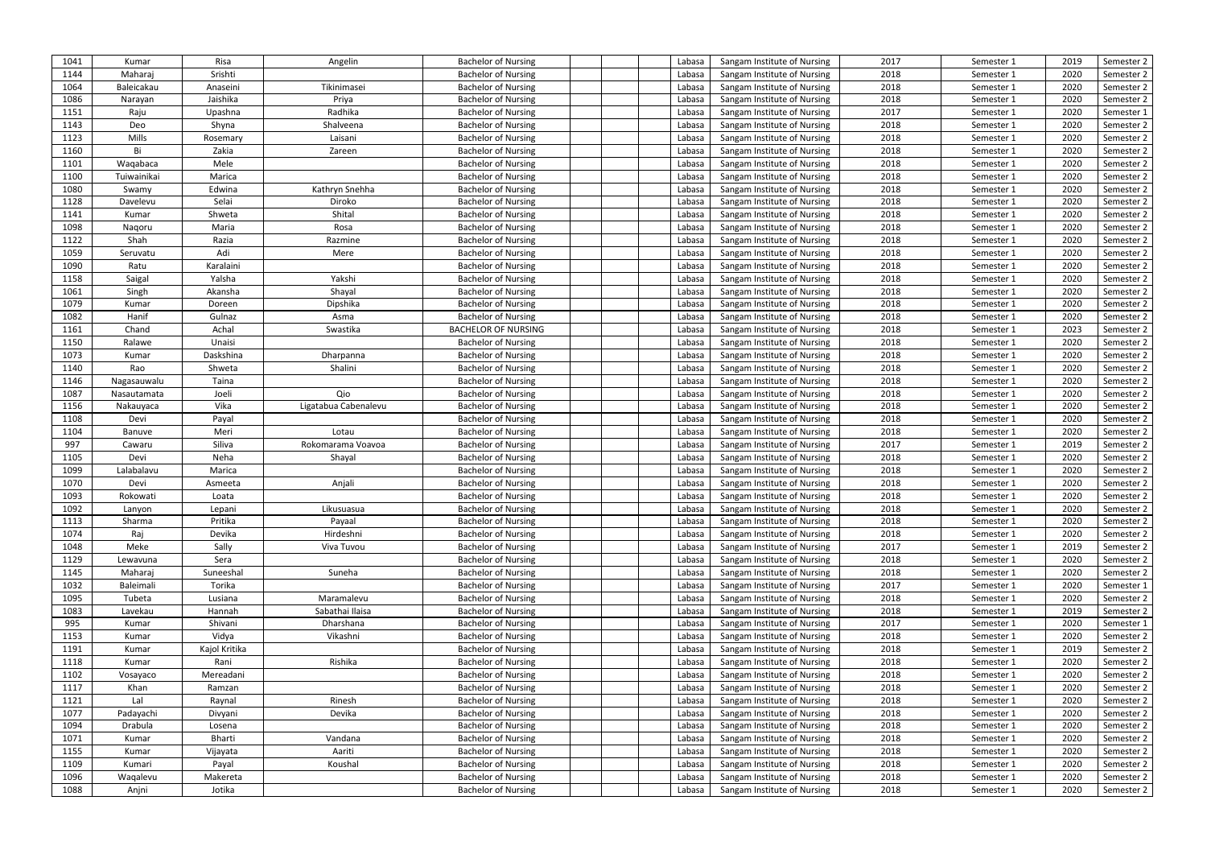| 1041 | Kumar           | Risa          | Angelin              | <b>Bachelor of Nursing</b> | Labasa | Sangam Institute of Nursing | 2017 | Semester 1               | 2019 | Semester 2 |
|------|-----------------|---------------|----------------------|----------------------------|--------|-----------------------------|------|--------------------------|------|------------|
| 1144 | Maharaj         | Srishti       |                      | <b>Bachelor of Nursing</b> | Labasa | Sangam Institute of Nursing | 2018 | Semester 1               | 2020 | Semester 2 |
| 1064 | Baleicakau      | Anaseini      | Tikinimasei          | <b>Bachelor of Nursing</b> | Labasa | Sangam Institute of Nursing | 2018 | Semester 1               | 2020 | Semester 2 |
| 1086 |                 | Jaishika      | Priya                | <b>Bachelor of Nursing</b> | Labasa | Sangam Institute of Nursing | 2018 |                          | 2020 | Semester 2 |
| 1151 | Narayan<br>Raju | Upashna       | Radhika              | <b>Bachelor of Nursing</b> | Labasa | Sangam Institute of Nursing | 2017 | Semester 1<br>Semester 1 | 2020 | Semester 1 |
|      |                 |               |                      |                            |        |                             |      |                          |      |            |
| 1143 | Deo             | Shyna         | Shalveena            | <b>Bachelor of Nursing</b> | Labasa | Sangam Institute of Nursing | 2018 | Semester 1               | 2020 | Semester 2 |
| 1123 | Mills           | Rosemary      | Laisani              | <b>Bachelor of Nursing</b> | Labasa | Sangam Institute of Nursing | 2018 | Semester 1               | 2020 | Semester 2 |
| 1160 | Bi              | Zakia         | Zareen               | <b>Bachelor of Nursing</b> | Labasa | Sangam Institute of Nursing | 2018 | Semester 1               | 2020 | Semester 2 |
| 1101 | Waqabaca        | Mele          |                      | <b>Bachelor of Nursing</b> | Labasa | Sangam Institute of Nursing | 2018 | Semester 1               | 2020 | Semester 2 |
| 1100 | Tuiwainikai     | Marica        |                      | <b>Bachelor of Nursing</b> | Labasa | Sangam Institute of Nursing | 2018 | Semester 1               | 2020 | Semester 2 |
| 1080 | Swamy           | Edwina        | Kathryn Snehha       | <b>Bachelor of Nursing</b> | Labasa | Sangam Institute of Nursing | 2018 | Semester 1               | 2020 | Semester 2 |
| 1128 | Davelevu        | Selai         | Diroko               | <b>Bachelor of Nursing</b> | Labasa | Sangam Institute of Nursing | 2018 | Semester 1               | 2020 | Semester 2 |
| 1141 | Kumar           | Shweta        | Shital               | <b>Bachelor of Nursing</b> | Labasa | Sangam Institute of Nursing | 2018 | Semester 1               | 2020 | Semester 2 |
| 1098 | Nagoru          | Maria         | Rosa                 | <b>Bachelor of Nursing</b> | Labasa | Sangam Institute of Nursing | 2018 | Semester 1               | 2020 | Semester 2 |
| 1122 | Shah            | Razia         | Razmine              | <b>Bachelor of Nursing</b> | Labasa | Sangam Institute of Nursing | 2018 | Semester 1               | 2020 | Semester 2 |
| 1059 | Seruvatu        | Adi           | Mere                 | <b>Bachelor of Nursing</b> | Labasa | Sangam Institute of Nursing | 2018 | Semester 1               | 2020 | Semester 2 |
| 1090 | Ratu            | Karalaini     |                      | <b>Bachelor of Nursing</b> | Labasa | Sangam Institute of Nursing | 2018 | Semester 1               | 2020 | Semester 2 |
| 1158 | Saigal          | Yalsha        | Yakshi               | <b>Bachelor of Nursing</b> | Labasa | Sangam Institute of Nursing | 2018 | Semester 1               | 2020 | Semester 2 |
| 1061 | Singh           | Akansha       | Shayal               | <b>Bachelor of Nursing</b> | Labasa | Sangam Institute of Nursing | 2018 | Semester 1               | 2020 | Semester 2 |
| 1079 | Kumar           | Doreen        | Dipshika             | <b>Bachelor of Nursing</b> | Labasa | Sangam Institute of Nursing | 2018 | Semester 1               | 2020 | Semester 2 |
| 1082 | Hanif           | Gulnaz        | Asma                 | <b>Bachelor of Nursing</b> | Labasa | Sangam Institute of Nursing | 2018 | Semester 1               | 2020 | Semester 2 |
| 1161 | Chand           | Achal         | Swastika             | <b>BACHELOR OF NURSING</b> | Labasa | Sangam Institute of Nursing | 2018 | Semester 1               | 2023 | Semester 2 |
| 1150 | Ralawe          | Unaisi        |                      | <b>Bachelor of Nursing</b> | Labasa | Sangam Institute of Nursing | 2018 | Semester 1               | 2020 | Semester 2 |
| 1073 | Kumar           | Daskshina     | Dharpanna            | <b>Bachelor of Nursing</b> | Labasa | Sangam Institute of Nursing | 2018 | Semester 1               | 2020 | Semester 2 |
| 1140 | Rao             | Shweta        | Shalini              | <b>Bachelor of Nursing</b> | Labasa | Sangam Institute of Nursing | 2018 | Semester 1               | 2020 | Semester 2 |
| 1146 | Nagasauwalu     | Taina         |                      | <b>Bachelor of Nursing</b> | Labasa | Sangam Institute of Nursing | 2018 | Semester 1               | 2020 | Semester 2 |
| 1087 | Nasautamata     | Joeli         | Qio                  | <b>Bachelor of Nursing</b> | Labasa | Sangam Institute of Nursing | 2018 | Semester 1               | 2020 | Semester 2 |
| 1156 | Nakauyaca       | Vika          | Ligatabua Cabenalevu | <b>Bachelor of Nursing</b> | Labasa | Sangam Institute of Nursing | 2018 | Semester 1               | 2020 | Semester 2 |
| 1108 | Devi            | Payal         |                      | <b>Bachelor of Nursing</b> | Labasa | Sangam Institute of Nursing | 2018 | Semester 1               | 2020 | Semester 2 |
|      |                 |               |                      |                            |        |                             |      |                          |      |            |
| 1104 | Banuve          | Meri          | Lotau                | <b>Bachelor of Nursing</b> | Labasa | Sangam Institute of Nursing | 2018 | Semester 1               | 2020 | Semester 2 |
| 997  | Cawaru          | Siliva        | Rokomarama Voavoa    | <b>Bachelor of Nursing</b> | Labasa | Sangam Institute of Nursing | 2017 | Semester 1               | 2019 | Semester 2 |
| 1105 | Devi            | Neha          | Shayal               | <b>Bachelor of Nursing</b> | Labasa | Sangam Institute of Nursing | 2018 | Semester 1               | 2020 | Semester 2 |
| 1099 | Lalabalavu      | Marica        |                      | <b>Bachelor of Nursing</b> | Labasa | Sangam Institute of Nursing | 2018 | Semester 1               | 2020 | Semester 2 |
| 1070 | Devi            | Asmeeta       | Anjali               | <b>Bachelor of Nursing</b> | Labasa | Sangam Institute of Nursing | 2018 | Semester 1               | 2020 | Semester 2 |
| 1093 | Rokowati        | Loata         |                      | <b>Bachelor of Nursing</b> | Labasa | Sangam Institute of Nursing | 2018 | Semester 1               | 2020 | Semester 2 |
| 1092 | Lanyon          | Lepani        | Likusuasua           | <b>Bachelor of Nursing</b> | Labasa | Sangam Institute of Nursing | 2018 | Semester 1               | 2020 | Semester 2 |
| 1113 | Sharma          | Pritika       | Payaal               | <b>Bachelor of Nursing</b> | Labasa | Sangam Institute of Nursing | 2018 | Semester 1               | 2020 | Semester 2 |
| 1074 | Raj             | Devika        | Hirdeshni            | <b>Bachelor of Nursing</b> | Labasa | Sangam Institute of Nursing | 2018 | Semester 1               | 2020 | Semester 2 |
| 1048 | Meke            | Sally         | Viva Tuvou           | <b>Bachelor of Nursing</b> | Labasa | Sangam Institute of Nursing | 2017 | Semester 1               | 2019 | Semester 2 |
| 1129 | Lewavuna        | Sera          |                      | <b>Bachelor of Nursing</b> | Labasa | Sangam Institute of Nursing | 2018 | Semester 1               | 2020 | Semester 2 |
| 1145 | Maharaj         | Suneeshal     | Suneha               | <b>Bachelor of Nursing</b> | Labasa | Sangam Institute of Nursing | 2018 | Semester 1               | 2020 | Semester 2 |
| 1032 | Baleimali       | Torika        |                      | <b>Bachelor of Nursing</b> | Labasa | Sangam Institute of Nursing | 2017 | Semester 1               | 2020 | Semester 1 |
| 1095 | Tubeta          | Lusiana       | Maramalevu           | <b>Bachelor of Nursing</b> | Labasa | Sangam Institute of Nursing | 2018 | Semester 1               | 2020 | Semester 2 |
| 1083 | Lavekau         | Hannah        | Sabathai Ilaisa      | <b>Bachelor of Nursing</b> | Labasa | Sangam Institute of Nursing | 2018 | Semester 1               | 2019 | Semester 2 |
| 995  | Kumar           | Shivani       | Dharshana            | <b>Bachelor of Nursing</b> | Labasa | Sangam Institute of Nursing | 2017 | Semester 1               | 2020 | Semester 1 |
| 1153 | Kumar           | Vidya         | Vikashni             | <b>Bachelor of Nursing</b> | Labasa | Sangam Institute of Nursing | 2018 | Semester 1               | 2020 | Semester 2 |
| 1191 | Kumar           | Kajol Kritika |                      | <b>Bachelor of Nursing</b> | Labasa | Sangam Institute of Nursing | 2018 | Semester 1               | 2019 | Semester 2 |
| 1118 | Kumar           | Rani          | Rishika              | <b>Bachelor of Nursing</b> | Labasa | Sangam Institute of Nursing | 2018 | Semester 1               | 2020 | Semester 2 |
| 1102 | Vosayaco        | Mereadani     |                      | <b>Bachelor of Nursing</b> | Labasa | Sangam Institute of Nursing | 2018 | Semester 1               | 2020 | Semester 2 |
| 1117 | Khan            | Ramzan        |                      | <b>Bachelor of Nursing</b> | Labasa | Sangam Institute of Nursing | 2018 | Semester 1               | 2020 | Semester 2 |
| 1121 | Lal             | Raynal        | Rinesh               | <b>Bachelor of Nursing</b> | Labasa | Sangam Institute of Nursing | 2018 | Semester 1               | 2020 | Semester 2 |
| 1077 | Padayachi       | Divyani       | Devika               | <b>Bachelor of Nursing</b> | Labasa | Sangam Institute of Nursing | 2018 | Semester 1               | 2020 | Semester 2 |
| 1094 | Drabula         | Losena        |                      | <b>Bachelor of Nursing</b> | Labasa | Sangam Institute of Nursing | 2018 | Semester 1               | 2020 | Semester 2 |
| 1071 | Kumar           | Bharti        | Vandana              | <b>Bachelor of Nursing</b> | Labasa | Sangam Institute of Nursing | 2018 | Semester 1               | 2020 | Semester 2 |
| 1155 | Kumar           | Vijayata      | Aariti               | <b>Bachelor of Nursing</b> | Labasa | Sangam Institute of Nursing | 2018 | Semester 1               | 2020 | Semester 2 |
| 1109 | Kumari          | Payal         | Koushal              | <b>Bachelor of Nursing</b> | Labasa | Sangam Institute of Nursing | 2018 | Semester 1               | 2020 | Semester 2 |
| 1096 | Waqalevu        | Makereta      |                      | <b>Bachelor of Nursing</b> | Labasa | Sangam Institute of Nursing | 2018 | Semester 1               | 2020 | Semester 2 |
| 1088 | Anjni           | Jotika        |                      | <b>Bachelor of Nursing</b> | Labasa | Sangam Institute of Nursing | 2018 | Semester 1               | 2020 | Semester 2 |
|      |                 |               |                      |                            |        |                             |      |                          |      |            |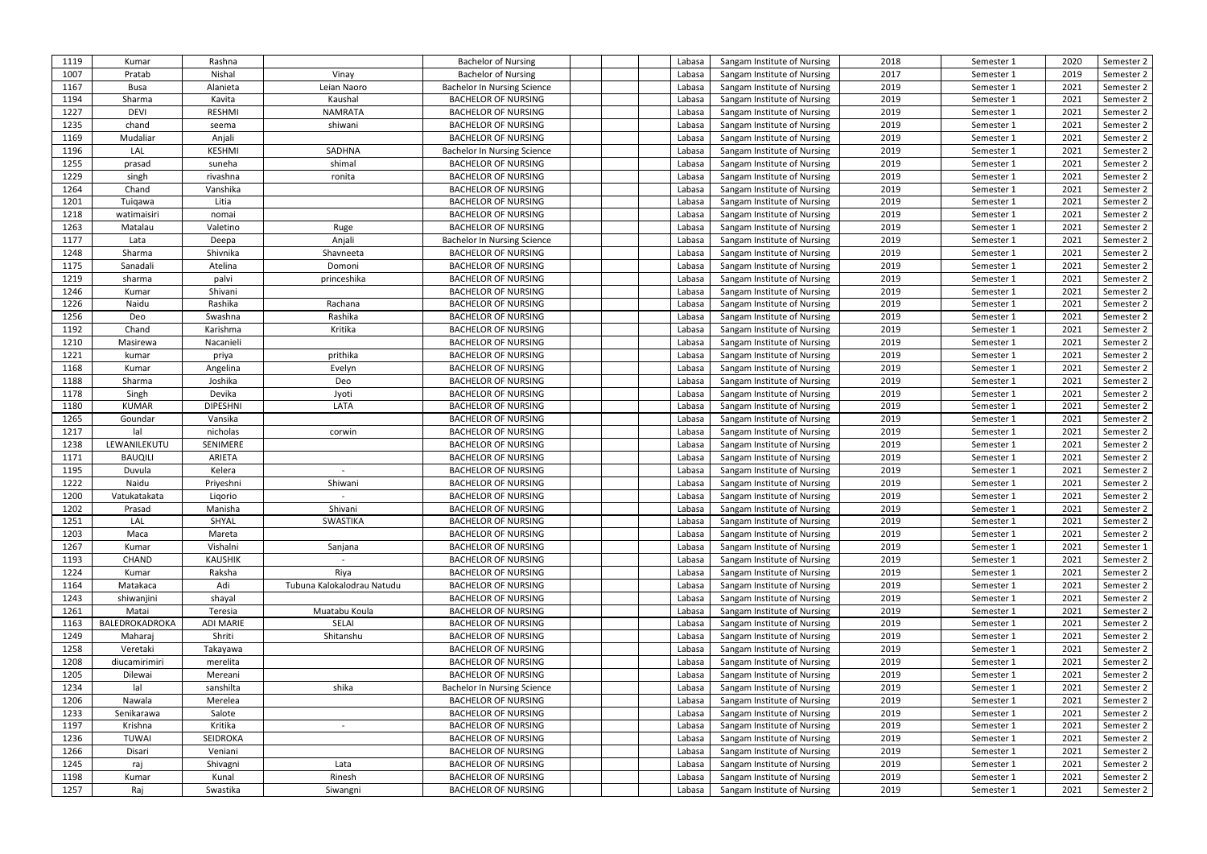| 1119 | Kumar          | Rashna          |                            | <b>Bachelor of Nursing</b>         | Labasa | Sangam Institute of Nursing | 2018 | Semester 1 | 2020 | Semester 2 |
|------|----------------|-----------------|----------------------------|------------------------------------|--------|-----------------------------|------|------------|------|------------|
| 1007 | Pratab         | Nishal          | Vinay                      | <b>Bachelor of Nursing</b>         | Labasa | Sangam Institute of Nursing | 2017 | Semester 1 | 2019 | Semester 2 |
| 1167 | <b>Busa</b>    | Alanieta        | Leian Naoro                | <b>Bachelor In Nursing Science</b> | Labasa | Sangam Institute of Nursing | 2019 | Semester 1 | 2021 | Semester 2 |
| 1194 | Sharma         | Kavita          | Kaushal                    | <b>BACHELOR OF NURSING</b>         | Labasa | Sangam Institute of Nursing | 2019 | Semester 1 | 2021 | Semester 2 |
| 1227 | <b>DEVI</b>    | <b>RESHMI</b>   | <b>NAMRATA</b>             | <b>BACHELOR OF NURSING</b>         | Labasa | Sangam Institute of Nursing | 2019 | Semester 1 | 2021 | Semester 2 |
| 1235 | chand          | seema           | shiwani                    | <b>BACHELOR OF NURSING</b>         | Labasa | Sangam Institute of Nursing | 2019 | Semester 1 | 2021 | Semester 2 |
| 1169 | Mudaliar       | Anjali          |                            | <b>BACHELOR OF NURSING</b>         | Labasa | Sangam Institute of Nursing | 2019 | Semester 1 | 2021 | Semester 2 |
| 1196 | LAL            | <b>KESHMI</b>   | SADHNA                     | <b>Bachelor In Nursing Science</b> | Labasa | Sangam Institute of Nursing | 2019 | Semester 1 | 2021 | Semester 2 |
| 1255 | prasad         | suneha          | shimal                     | <b>BACHELOR OF NURSING</b>         | Labasa | Sangam Institute of Nursing | 2019 | Semester 1 | 2021 | Semester 2 |
| 1229 | singh          | rivashna        | ronita                     | <b>BACHELOR OF NURSING</b>         | Labasa | Sangam Institute of Nursing | 2019 | Semester 1 | 2021 | Semester 2 |
| 1264 | Chand          | Vanshika        |                            | <b>BACHELOR OF NURSING</b>         | Labasa | Sangam Institute of Nursing | 2019 | Semester 1 | 2021 | Semester 2 |
| 1201 | Tuiqawa        | Litia           |                            | <b>BACHELOR OF NURSING</b>         | Labasa | Sangam Institute of Nursing | 2019 | Semester 1 | 2021 | Semester 2 |
| 1218 |                |                 |                            | <b>BACHELOR OF NURSING</b>         |        |                             | 2019 |            | 2021 |            |
|      | watimaisiri    | nomai           |                            |                                    | Labasa | Sangam Institute of Nursing |      | Semester 1 |      | Semester 2 |
| 1263 | Matalau        | Valetino        | Ruge                       | <b>BACHELOR OF NURSING</b>         | Labasa | Sangam Institute of Nursing | 2019 | Semester 1 | 2021 | Semester 2 |
| 1177 | Lata           | Deepa           | Anjali                     | <b>Bachelor In Nursing Science</b> | Labasa | Sangam Institute of Nursing | 2019 | Semester 1 | 2021 | Semester 2 |
| 1248 | Sharma         | Shivnika        | Shavneeta                  | <b>BACHELOR OF NURSING</b>         | Labasa | Sangam Institute of Nursing | 2019 | Semester 1 | 2021 | Semester 2 |
| 1175 | Sanadali       | Atelina         | Domoni                     | <b>BACHELOR OF NURSING</b>         | Labasa | Sangam Institute of Nursing | 2019 | Semester 1 | 2021 | Semester 2 |
| 1219 | sharma         | palvi           | princeshika                | <b>BACHELOR OF NURSING</b>         | Labasa | Sangam Institute of Nursing | 2019 | Semester 1 | 2021 | Semester 2 |
| 1246 | Kumar          | Shivani         |                            | <b>BACHELOR OF NURSING</b>         | Labasa | Sangam Institute of Nursing | 2019 | Semester 1 | 2021 | Semester 2 |
| 1226 | Naidu          | Rashika         | Rachana                    | <b>BACHELOR OF NURSING</b>         | Labasa | Sangam Institute of Nursing | 2019 | Semester 1 | 2021 | Semester 2 |
| 1256 | Deo            | Swashna         | Rashika                    | <b>BACHELOR OF NURSING</b>         | Labasa | Sangam Institute of Nursing | 2019 | Semester 1 | 2021 | Semester 2 |
| 1192 | Chand          | Karishma        | Kritika                    | <b>BACHELOR OF NURSING</b>         | Labasa | Sangam Institute of Nursing | 2019 | Semester 1 | 2021 | Semester 2 |
| 1210 | Masirewa       | Nacanieli       |                            | <b>BACHELOR OF NURSING</b>         | Labasa | Sangam Institute of Nursing | 2019 | Semester 1 | 2021 | Semester 2 |
| 1221 | kumar          | priya           | prithika                   | <b>BACHELOR OF NURSING</b>         | Labasa | Sangam Institute of Nursing | 2019 | Semester 1 | 2021 | Semester 2 |
| 1168 | Kumar          | Angelina        | Evelyn                     | <b>BACHELOR OF NURSING</b>         | Labasa | Sangam Institute of Nursing | 2019 | Semester 1 | 2021 | Semester 2 |
| 1188 | Sharma         | Joshika         | Deo                        | <b>BACHELOR OF NURSING</b>         | Labasa | Sangam Institute of Nursing | 2019 | Semester 1 | 2021 | Semester 2 |
| 1178 | Singh          | Devika          | Jyoti                      | <b>BACHELOR OF NURSING</b>         | Labasa | Sangam Institute of Nursing | 2019 | Semester 1 | 2021 | Semester 2 |
| 1180 | <b>KUMAR</b>   | <b>DIPESHNI</b> | LATA                       | <b>BACHELOR OF NURSING</b>         | Labasa | Sangam Institute of Nursing | 2019 | Semester 1 | 2021 | Semester 2 |
| 1265 | Goundar        | Vansika         |                            | <b>BACHELOR OF NURSING</b>         | Labasa | Sangam Institute of Nursing | 2019 | Semester 1 | 2021 | Semester 2 |
| 1217 | lal            | nicholas        | corwin                     | <b>BACHELOR OF NURSING</b>         | Labasa | Sangam Institute of Nursing | 2019 | Semester 1 | 2021 | Semester 2 |
| 1238 | LEWANILEKUTU   | SENIMERE        |                            | <b>BACHELOR OF NURSING</b>         | Labasa | Sangam Institute of Nursing | 2019 | Semester 1 | 2021 | Semester 2 |
| 1171 | <b>BAUQILI</b> | ARIETA          |                            | <b>BACHELOR OF NURSING</b>         | Labasa | Sangam Institute of Nursing | 2019 | Semester 1 | 2021 | Semester 2 |
|      |                |                 |                            |                                    |        |                             |      |            |      |            |
| 1195 | Duvula         | Kelera          |                            | <b>BACHELOR OF NURSING</b>         | Labasa | Sangam Institute of Nursing | 2019 | Semester 1 | 2021 | Semester 2 |
| 1222 | Naidu          | Priyeshni       | Shiwani                    | <b>BACHELOR OF NURSING</b>         | Labasa | Sangam Institute of Nursing | 2019 | Semester 1 | 2021 | Semester 2 |
| 1200 | Vatukatakata   | Ligorio         |                            | <b>BACHELOR OF NURSING</b>         | Labasa | Sangam Institute of Nursing | 2019 | Semester 1 | 2021 | Semester 2 |
| 1202 | Prasad         | Manisha         | Shivani                    | <b>BACHELOR OF NURSING</b>         | Labasa | Sangam Institute of Nursing | 2019 | Semester 1 | 2021 | Semester 2 |
| 1251 | LAL            | SHYAL           | SWASTIKA                   | <b>BACHELOR OF NURSING</b>         | Labasa | Sangam Institute of Nursing | 2019 | Semester 1 | 2021 | Semester 2 |
| 1203 | Maca           | Mareta          |                            | <b>BACHELOR OF NURSING</b>         | Labasa | Sangam Institute of Nursing | 2019 | Semester 1 | 2021 | Semester 2 |
| 1267 | Kumar          | Vishalni        | Sanjana                    | <b>BACHELOR OF NURSING</b>         | Labasa | Sangam Institute of Nursing | 2019 | Semester 1 | 2021 | Semester 1 |
| 1193 | CHAND          | <b>KAUSHIK</b>  |                            | <b>BACHELOR OF NURSING</b>         | Labasa | Sangam Institute of Nursing | 2019 | Semester 1 | 2021 | Semester 2 |
| 1224 | Kumar          | Raksha          | Riya                       | <b>BACHELOR OF NURSING</b>         | Labasa | Sangam Institute of Nursing | 2019 | Semester 1 | 2021 | Semester 2 |
| 1164 | Matakaca       | Adi             | Tubuna Kalokalodrau Natudu | <b>BACHELOR OF NURSING</b>         | Labasa | Sangam Institute of Nursing | 2019 | Semester 1 | 2021 | Semester 2 |
| 1243 | shiwanjini     | shayal          |                            | <b>BACHELOR OF NURSING</b>         | Labasa | Sangam Institute of Nursing | 2019 | Semester 1 | 2021 | Semester 2 |
| 1261 | Matai          | Teresia         | Muatabu Koula              | <b>BACHELOR OF NURSING</b>         | Labasa | Sangam Institute of Nursing | 2019 | Semester 1 | 2021 | Semester 2 |
| 1163 | BALEDROKADROKA | ADI MARIE       | SELAI                      | <b>BACHELOR OF NURSING</b>         | Labasa | Sangam Institute of Nursing | 2019 | Semester 1 | 2021 | Semester 2 |
| 1249 | Maharaj        | Shriti          | Shitanshu                  | <b>BACHELOR OF NURSING</b>         | Labasa | Sangam Institute of Nursing | 2019 | Semester 1 | 2021 | Semester 2 |
| 1258 | Veretaki       | Takayawa        |                            | <b>BACHELOR OF NURSING</b>         | Labasa | Sangam Institute of Nursing | 2019 | Semester 1 | 2021 | Semester 2 |
| 1208 | diucamirimiri  | merelita        |                            | <b>BACHELOR OF NURSING</b>         | Labasa | Sangam Institute of Nursing | 2019 | Semester 1 | 2021 | Semester 2 |
| 1205 | Dilewai        | Mereani         |                            | <b>BACHELOR OF NURSING</b>         | Labasa | Sangam Institute of Nursing | 2019 | Semester 1 | 2021 | Semester 2 |
| 1234 | lal            | sanshilta       | shika                      | <b>Bachelor In Nursing Science</b> | Labasa | Sangam Institute of Nursing | 2019 | Semester 1 | 2021 | Semester 2 |
| 1206 | Nawala         | Merelea         |                            | <b>BACHELOR OF NURSING</b>         | Labasa | Sangam Institute of Nursing | 2019 | Semester 1 | 2021 | Semester 2 |
| 1233 | Senikarawa     | Salote          |                            | <b>BACHELOR OF NURSING</b>         | Labasa | Sangam Institute of Nursing | 2019 | Semester 1 | 2021 | Semester 2 |
| 1197 | Krishna        | Kritika         |                            | <b>BACHELOR OF NURSING</b>         | Labasa | Sangam Institute of Nursing | 2019 | Semester 1 | 2021 | Semester 2 |
| 1236 | TUWAI          | SEIDROKA        |                            | <b>BACHELOR OF NURSING</b>         | Labasa | Sangam Institute of Nursing | 2019 |            | 2021 | Semester 2 |
| 1266 | Disari         | Veniani         |                            | <b>BACHELOR OF NURSING</b>         | Labasa | Sangam Institute of Nursing | 2019 | Semester 1 | 2021 | Semester 2 |
|      |                |                 |                            |                                    |        |                             |      | Semester 1 |      |            |
| 1245 | raj            | Shivagni        | Lata                       | <b>BACHELOR OF NURSING</b>         | Labasa | Sangam Institute of Nursing | 2019 | Semester 1 | 2021 | Semester 2 |
| 1198 | Kumar          | Kunal           | Rinesh                     | <b>BACHELOR OF NURSING</b>         | Labasa | Sangam Institute of Nursing | 2019 | Semester 1 | 2021 | Semester 2 |
| 1257 | Raj            | Swastika        | Siwangni                   | <b>BACHELOR OF NURSING</b>         | Labasa | Sangam Institute of Nursing | 2019 | Semester 1 | 2021 | Semester 2 |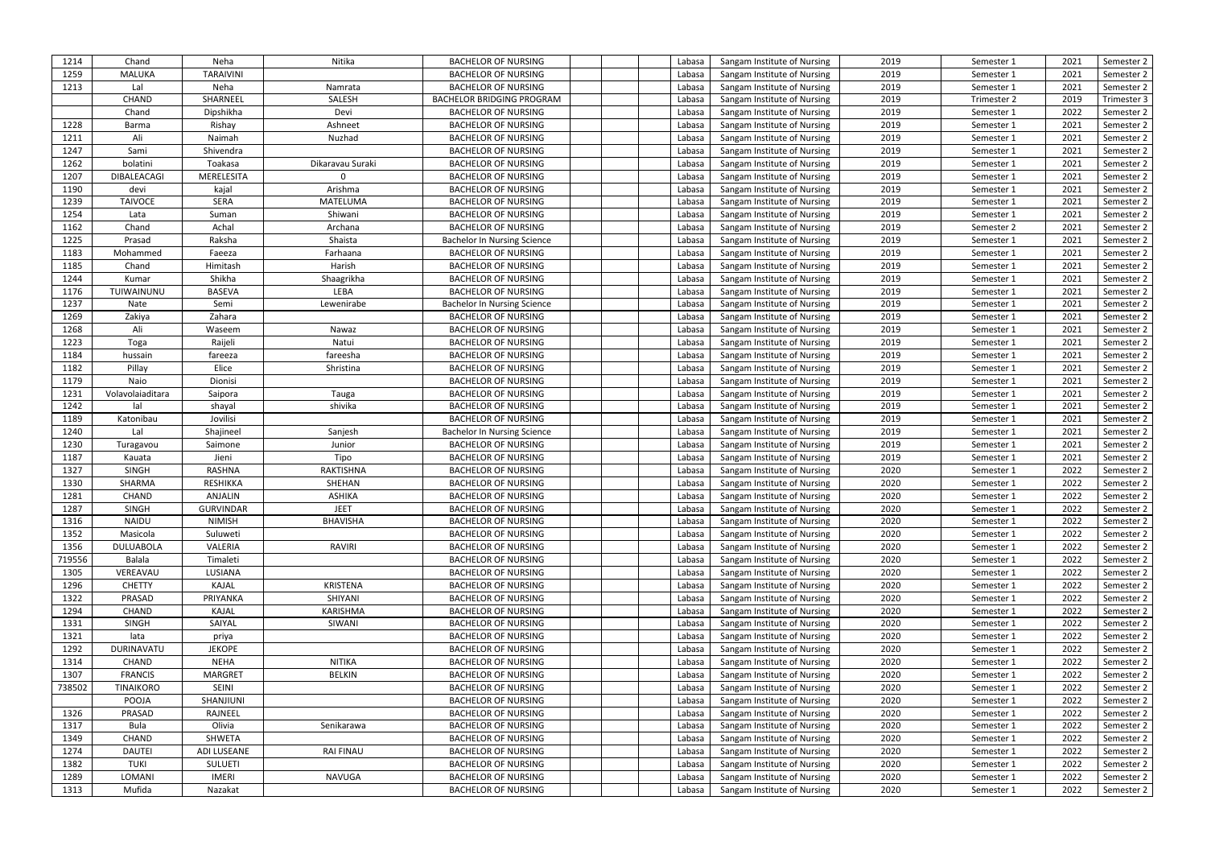| 1214   | Chand            | Neha             | Nitika           | <b>BACHELOR OF NURSING</b>         | Labasa | Sangam Institute of Nursing | 2019 | Semester 1  | 2021 | Semester 2  |
|--------|------------------|------------------|------------------|------------------------------------|--------|-----------------------------|------|-------------|------|-------------|
| 1259   | <b>MALUKA</b>    | <b>TARAIVINI</b> |                  | <b>BACHELOR OF NURSING</b>         | Labasa | Sangam Institute of Nursing | 2019 | Semester 1  | 2021 | Semester 2  |
| 1213   | Lal              | Neha             | Namrata          | <b>BACHELOR OF NURSING</b>         | Labasa | Sangam Institute of Nursing | 2019 | Semester 1  | 2021 | Semester 2  |
|        | CHAND            | SHARNEEL         | SALESH           | <b>BACHELOR BRIDGING PROGRAM</b>   | Labasa | Sangam Institute of Nursing | 2019 | Trimester 2 | 2019 | Trimester 3 |
|        | Chand            | Dipshikha        | Devi             | <b>BACHELOR OF NURSING</b>         | Labasa | Sangam Institute of Nursing | 2019 | Semester 1  | 2022 | Semester 2  |
| 1228   | Barma            | Rishay           | Ashneet          | <b>BACHELOR OF NURSING</b>         | Labasa | Sangam Institute of Nursing | 2019 | Semester 1  | 2021 | Semester 2  |
| 1211   | Ali              | Naimah           | Nuzhad           | <b>BACHELOR OF NURSING</b>         | Labasa | Sangam Institute of Nursing | 2019 | Semester 1  | 2021 | Semester 2  |
| 1247   | Sami             | Shivendra        |                  | <b>BACHELOR OF NURSING</b>         | Labasa | Sangam Institute of Nursing | 2019 | Semester 1  | 2021 | Semester 2  |
| 1262   | bolatini         | Toakasa          | Dikaravau Suraki | <b>BACHELOR OF NURSING</b>         | Labasa | Sangam Institute of Nursing | 2019 | Semester 1  | 2021 | Semester 2  |
| 1207   | DIBALEACAGI      | MERELESITA       |                  | <b>BACHELOR OF NURSING</b>         | Labasa | Sangam Institute of Nursing | 2019 | Semester 1  | 2021 | Semester 2  |
| 1190   | devi             | kajal            | Arishma          | <b>BACHELOR OF NURSING</b>         | Labasa | Sangam Institute of Nursing | 2019 | Semester 1  | 2021 | Semester 2  |
| 1239   | <b>TAIVOCE</b>   | <b>SERA</b>      | MATELUMA         | <b>BACHELOR OF NURSING</b>         |        |                             | 2019 |             | 2021 |             |
|        |                  |                  |                  |                                    | Labasa | Sangam Institute of Nursing | 2019 | Semester 1  |      | Semester 2  |
| 1254   | Lata             | Suman            | Shiwani          | <b>BACHELOR OF NURSING</b>         | Labasa | Sangam Institute of Nursing |      | Semester 1  | 2021 | Semester 2  |
| 1162   | Chand            | Achal            | Archana          | <b>BACHELOR OF NURSING</b>         | Labasa | Sangam Institute of Nursing | 2019 | Semester 2  | 2021 | Semester 2  |
| 1225   | Prasad           | Raksha           | Shaista          | <b>Bachelor In Nursing Science</b> | Labasa | Sangam Institute of Nursing | 2019 | Semester 1  | 2021 | Semester 2  |
| 1183   | Mohammed         | Faeeza           | Farhaana         | <b>BACHELOR OF NURSING</b>         | Labasa | Sangam Institute of Nursing | 2019 | Semester 1  | 2021 | Semester 2  |
| 1185   | Chand            | Himitash         | Harish           | <b>BACHELOR OF NURSING</b>         | Labasa | Sangam Institute of Nursing | 2019 | Semester 1  | 2021 | Semester 2  |
| 1244   | Kumar            | Shikha           | Shaagrikha       | <b>BACHELOR OF NURSING</b>         | Labasa | Sangam Institute of Nursing | 2019 | Semester 1  | 2021 | Semester 2  |
| 1176   | TUIWAINUNU       | <b>BASEVA</b>    | LEBA             | <b>BACHELOR OF NURSING</b>         | Labasa | Sangam Institute of Nursing | 2019 | Semester 1  | 2021 | Semester 2  |
| 1237   | Nate             | Semi             | Lewenirabe       | <b>Bachelor In Nursing Science</b> | Labasa | Sangam Institute of Nursing | 2019 | Semester 1  | 2021 | Semester 2  |
| 1269   | Zakiya           | Zahara           |                  | <b>BACHELOR OF NURSING</b>         | Labasa | Sangam Institute of Nursing | 2019 | Semester 1  | 2021 | Semester 2  |
| 1268   | Ali              | Waseem           | Nawaz            | <b>BACHELOR OF NURSING</b>         | Labasa | Sangam Institute of Nursing | 2019 | Semester 1  | 2021 | Semester 2  |
| 1223   | Toga             | Raijeli          | Natui            | <b>BACHELOR OF NURSING</b>         | Labasa | Sangam Institute of Nursing | 2019 | Semester 1  | 2021 | Semester 2  |
| 1184   | hussain          | fareeza          | fareesha         | <b>BACHELOR OF NURSING</b>         | Labasa | Sangam Institute of Nursing | 2019 | Semester 1  | 2021 | Semester 2  |
| 1182   | Pillay           | Elice            | Shristina        | <b>BACHELOR OF NURSING</b>         | Labasa | Sangam Institute of Nursing | 2019 | Semester 1  | 2021 | Semester 2  |
| 1179   | Naio             | Dionisi          |                  | <b>BACHELOR OF NURSING</b>         | Labasa | Sangam Institute of Nursing | 2019 | Semester 1  | 2021 | Semester 2  |
| 1231   | Volavolaiaditara | Saipora          | Tauga            | <b>BACHELOR OF NURSING</b>         | Labasa | Sangam Institute of Nursing | 2019 | Semester 1  | 2021 | Semester 2  |
| 1242   | lal              | shayal           | shivika          | <b>BACHELOR OF NURSING</b>         | Labasa | Sangam Institute of Nursing | 2019 | Semester 1  | 2021 | Semester 2  |
| 1189   | Katonibau        | Jovilisi         |                  | <b>BACHELOR OF NURSING</b>         | Labasa | Sangam Institute of Nursing | 2019 | Semester 1  | 2021 | Semester 2  |
| 1240   | Lal              | Shajineel        | Sanjesh          | <b>Bachelor In Nursing Science</b> | Labasa | Sangam Institute of Nursing | 2019 | Semester 1  | 2021 | Semester 2  |
| 1230   | Turagavou        | Saimone          | Junior           | <b>BACHELOR OF NURSING</b>         | Labasa | Sangam Institute of Nursing | 2019 | Semester 1  | 2021 | Semester 2  |
| 1187   | Kauata           | Jieni            | Tipo             | <b>BACHELOR OF NURSING</b>         | Labasa | Sangam Institute of Nursing | 2019 | Semester 1  | 2021 | Semester 2  |
| 1327   | <b>SINGH</b>     | <b>RASHNA</b>    | RAKTISHNA        | <b>BACHELOR OF NURSING</b>         | Labasa | Sangam Institute of Nursing | 2020 | Semester 1  | 2022 | Semester 2  |
| 1330   | SHARMA           | RESHIKKA         | SHEHAN           | <b>BACHELOR OF NURSING</b>         | Labasa | Sangam Institute of Nursing | 2020 | Semester 1  | 2022 | Semester 2  |
| 1281   | CHAND            | <b>ANJALIN</b>   | <b>ASHIKA</b>    | <b>BACHELOR OF NURSING</b>         | Labasa | Sangam Institute of Nursing | 2020 | Semester 1  | 2022 | Semester 2  |
| 1287   | SINGH            | <b>GURVINDAR</b> | <b>JEET</b>      | <b>BACHELOR OF NURSING</b>         | Labasa | Sangam Institute of Nursing | 2020 | Semester 1  | 2022 | Semester 2  |
| 1316   | <b>NAIDU</b>     | <b>NIMISH</b>    | <b>BHAVISHA</b>  | <b>BACHELOR OF NURSING</b>         | Labasa | Sangam Institute of Nursing | 2020 | Semester 1  | 2022 | Semester 2  |
| 1352   | Masicola         | Suluweti         |                  | <b>BACHELOR OF NURSING</b>         | Labasa | Sangam Institute of Nursing | 2020 | Semester 1  | 2022 | Semester 2  |
| 1356   | <b>DULUABOLA</b> | VALERIA          | RAVIRI           | <b>BACHELOR OF NURSING</b>         | Labasa | Sangam Institute of Nursing | 2020 | Semester 1  | 2022 | Semester 2  |
| 719556 | Balala           | Timaleti         |                  | <b>BACHELOR OF NURSING</b>         | Labasa | Sangam Institute of Nursing | 2020 | Semester 1  | 2022 | Semester 2  |
| 1305   | VEREAVAU         | LUSIANA          |                  | <b>BACHELOR OF NURSING</b>         | Labasa | Sangam Institute of Nursing | 2020 | Semester 1  | 2022 | Semester 2  |
| 1296   | <b>CHETTY</b>    | KAJAL            | <b>KRISTENA</b>  | <b>BACHELOR OF NURSING</b>         | Labasa | Sangam Institute of Nursing | 2020 | Semester 1  | 2022 | Semester 2  |
| 1322   | PRASAD           | PRIYANKA         | SHIYANI          | <b>BACHELOR OF NURSING</b>         | Labasa | Sangam Institute of Nursing | 2020 | Semester 1  | 2022 | Semester 2  |
| 1294   | CHAND            | KAJAL            | KARISHMA         | <b>BACHELOR OF NURSING</b>         | Labasa | Sangam Institute of Nursing | 2020 | Semester 1  | 2022 | Semester 2  |
| 1331   | <b>SINGH</b>     | SAIYAL           | SIWANI           | <b>BACHELOR OF NURSING</b>         | Labasa | Sangam Institute of Nursing | 2020 | Semester 1  | 2022 | Semester 2  |
| 1321   | lata             | priya            |                  | <b>BACHELOR OF NURSING</b>         | Labasa | Sangam Institute of Nursing | 2020 | Semester 1  | 2022 | Semester 2  |
| 1292   | DURINAVATU       | <b>JEKOPE</b>    |                  | <b>BACHELOR OF NURSING</b>         | Labasa | Sangam Institute of Nursing | 2020 | Semester 1  | 2022 | Semester 2  |
|        | CHAND            |                  | <b>NITIKA</b>    |                                    |        |                             | 2020 |             |      |             |
| 1314   |                  | NEHA             |                  | <b>BACHELOR OF NURSING</b>         | Labasa | Sangam Institute of Nursing |      | Semester 1  | 2022 | Semester 2  |
| 1307   | <b>FRANCIS</b>   | MARGRET<br>SEINI | <b>BELKIN</b>    | <b>BACHELOR OF NURSING</b>         | Labasa | Sangam Institute of Nursing | 2020 | Semester 1  | 2022 | Semester 2  |
| 738502 | <b>TINAIKORO</b> |                  |                  | <b>BACHELOR OF NURSING</b>         | Labasa | Sangam Institute of Nursing | 2020 | Semester 1  | 2022 | Semester 2  |
|        | POOJA            | SHANJIUNI        |                  | <b>BACHELOR OF NURSING</b>         | Labasa | Sangam Institute of Nursing | 2020 | Semester 1  | 2022 | Semester 2  |
| 1326   | PRASAD           | RAJNEEL          |                  | <b>BACHELOR OF NURSING</b>         | Labasa | Sangam Institute of Nursing | 2020 | Semester 1  | 2022 | Semester 2  |
| 1317   | Bula             | Olivia           | Senikarawa       | <b>BACHELOR OF NURSING</b>         | Labasa | Sangam Institute of Nursing | 2020 | Semester 1  | 2022 | Semester 2  |
| 1349   | CHAND            | SHWETA           |                  | <b>BACHELOR OF NURSING</b>         | Labasa | Sangam Institute of Nursing | 2020 | Semester 1  | 2022 | Semester 2  |
| 1274   | <b>DAUTEI</b>    | ADI LUSEANE      | <b>RAI FINAU</b> | <b>BACHELOR OF NURSING</b>         | Labasa | Sangam Institute of Nursing | 2020 | Semester 1  | 2022 | Semester 2  |
| 1382   | <b>TUKI</b>      | <b>SULUETI</b>   |                  | <b>BACHELOR OF NURSING</b>         | Labasa | Sangam Institute of Nursing | 2020 | Semester 1  | 2022 | Semester 2  |
| 1289   | LOMANI           | <b>IMERI</b>     | NAVUGA           | <b>BACHELOR OF NURSING</b>         | Labasa | Sangam Institute of Nursing | 2020 | Semester 1  | 2022 | Semester 2  |
| 1313   | Mufida           | Nazakat          |                  | <b>BACHELOR OF NURSING</b>         | Labasa | Sangam Institute of Nursing | 2020 | Semester 1  | 2022 | Semester 2  |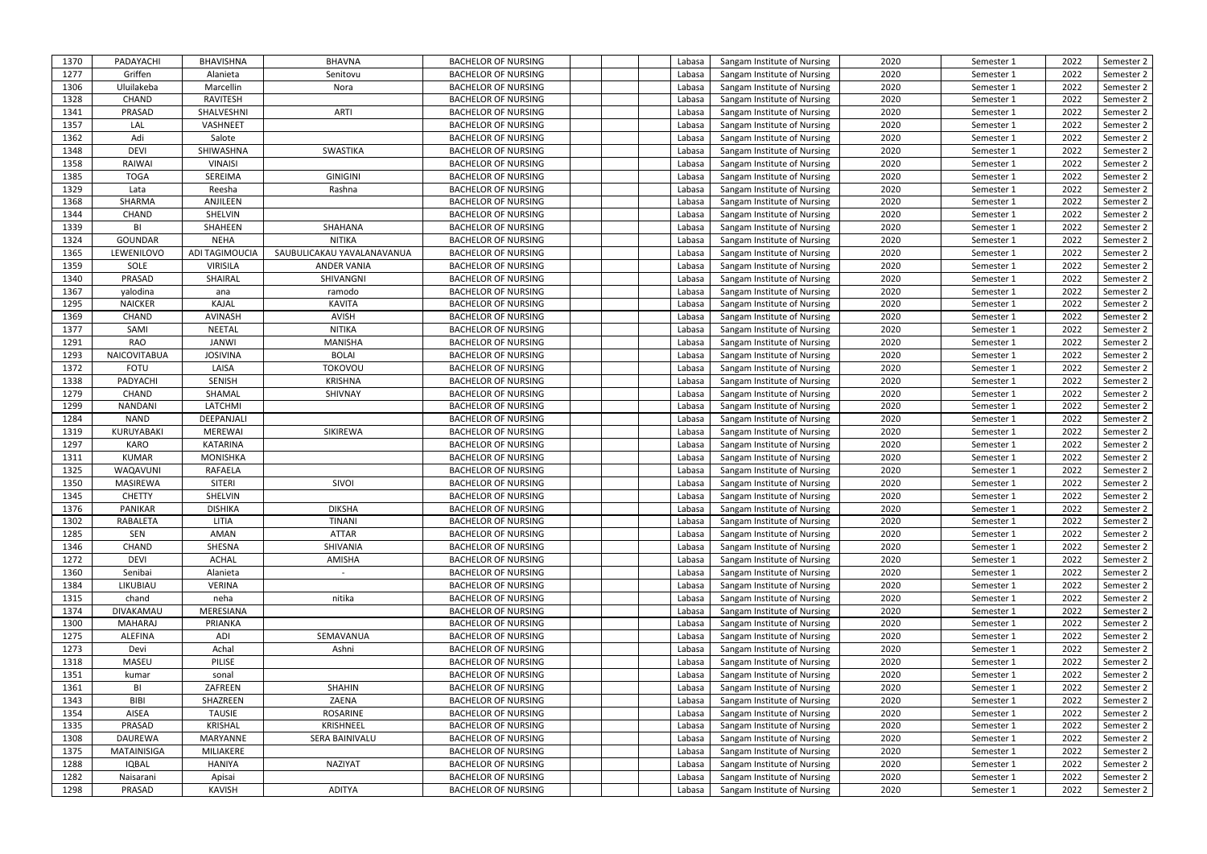| 1370         | PADAYACHI      | <b>BHAVISHNA</b>      | <b>BHAVNA</b>              | <b>BACHELOR OF NURSING</b>                               | Labasa           | Sangam Institute of Nursing                                | 2020 | Semester 1               | 2022 | Semester 2               |
|--------------|----------------|-----------------------|----------------------------|----------------------------------------------------------|------------------|------------------------------------------------------------|------|--------------------------|------|--------------------------|
| 1277         | Griffen        | Alanieta              | Senitovu                   | <b>BACHELOR OF NURSING</b>                               | Labasa           | Sangam Institute of Nursing                                | 2020 | Semester 1               | 2022 | Semester 2               |
| 1306         | Uluilakeba     | Marcellin             | Nora                       | <b>BACHELOR OF NURSING</b>                               | Labasa           | Sangam Institute of Nursing                                | 2020 | Semester 1               | 2022 | Semester 2               |
| 1328         | CHAND          | RAVITESH              |                            | <b>BACHELOR OF NURSING</b>                               | Labasa           | Sangam Institute of Nursing                                | 2020 | Semester 1               | 2022 | Semester 2               |
| 1341         | PRASAD         | SHALVESHNI            | ARTI                       | <b>BACHELOR OF NURSING</b>                               | Labasa           | Sangam Institute of Nursing                                | 2020 | Semester 1               | 2022 | Semester 2               |
| 1357         | LAL            | VASHNEET              |                            | <b>BACHELOR OF NURSING</b>                               | Labasa           | Sangam Institute of Nursing                                | 2020 | Semester 1               | 2022 | Semester 2               |
| 1362         | Adi            | Salote                |                            | <b>BACHELOR OF NURSING</b>                               | Labasa           | Sangam Institute of Nursing                                | 2020 | Semester 1               | 2022 | Semester 2               |
| 1348         | <b>DEVI</b>    | SHIWASHNA             | SWASTIKA                   | <b>BACHELOR OF NURSING</b>                               | Labasa           | Sangam Institute of Nursing                                | 2020 | Semester 1               | 2022 | Semester 2               |
| 1358         | RAIWAI         | VINAISI               |                            | <b>BACHELOR OF NURSING</b>                               | Labasa           | Sangam Institute of Nursing                                | 2020 | Semester 1               | 2022 | Semester 2               |
| 1385         | <b>TOGA</b>    | SEREIMA               | <b>GINIGINI</b>            | <b>BACHELOR OF NURSING</b>                               | Labasa           | Sangam Institute of Nursing                                | 2020 | Semester 1               | 2022 | Semester 2               |
| 1329         | Lata           | Reesha                | Rashna                     | <b>BACHELOR OF NURSING</b>                               | Labasa           | Sangam Institute of Nursing                                | 2020 | Semester 1               | 2022 | Semester 2               |
| 1368         | SHARMA         | ANJILEEN              |                            | <b>BACHELOR OF NURSING</b>                               | Labasa           | Sangam Institute of Nursing                                | 2020 | Semester 1               | 2022 | Semester 2               |
| 1344         | CHAND          | SHELVIN               |                            | <b>BACHELOR OF NURSING</b>                               | Labasa           | Sangam Institute of Nursing                                | 2020 | Semester 1               | 2022 | Semester 2               |
| 1339         | BI             | SHAHEEN               | <b>SHAHANA</b>             | <b>BACHELOR OF NURSING</b>                               | Labasa           | Sangam Institute of Nursing                                | 2020 | Semester 1               | 2022 | Semester 2               |
| 1324         | <b>GOUNDAR</b> | <b>NEHA</b>           | NITIKA                     | <b>BACHELOR OF NURSING</b>                               | Labasa           | Sangam Institute of Nursing                                | 2020 | Semester 1               | 2022 | Semester 2               |
| 1365         | LEWENILOVO     | ADI TAGIMOUCIA        | SAUBULICAKAU YAVALANAVANUA | <b>BACHELOR OF NURSING</b>                               | Labasa           | Sangam Institute of Nursing                                | 2020 | Semester 1               | 2022 | Semester 2               |
| 1359         | SOLE           | <b>VIRISILA</b>       | <b>ANDER VANIA</b>         | <b>BACHELOR OF NURSING</b>                               | Labasa           | Sangam Institute of Nursing                                | 2020 | Semester 1               | 2022 | Semester 2               |
| 1340         | PRASAD         | SHAIRAL               | SHIVANGNI                  | <b>BACHELOR OF NURSING</b>                               | Labasa           | Sangam Institute of Nursing                                | 2020 | Semester 1               | 2022 | Semester 2               |
| 1367         | yalodina       | ana                   | ramodo                     | <b>BACHELOR OF NURSING</b>                               | Labasa           | Sangam Institute of Nursing                                | 2020 | Semester 1               | 2022 | Semester 2               |
| 1295         | <b>NAICKER</b> | KAJAL                 | <b>KAVITA</b>              | <b>BACHELOR OF NURSING</b>                               | Labasa           | Sangam Institute of Nursing                                | 2020 | Semester 1               | 2022 | Semester 2               |
| 1369         | CHAND          | <b>AVINASH</b>        | <b>AVISH</b>               | <b>BACHELOR OF NURSING</b>                               | Labasa           | Sangam Institute of Nursing                                | 2020 | Semester 1               | 2022 | Semester 2               |
| 1377         | SAMI           | <b>NEETAL</b>         | <b>NITIKA</b>              | <b>BACHELOR OF NURSING</b>                               | Labasa           | Sangam Institute of Nursing                                | 2020 | Semester 1               | 2022 | Semester 2               |
| 1291         | RAO            | <b>JANWI</b>          | <b>MANISHA</b>             |                                                          |                  |                                                            | 2020 |                          | 2022 |                          |
| 1293         | NAICOVITABUA   | <b>JOSIVINA</b>       | <b>BOLAI</b>               | <b>BACHELOR OF NURSING</b><br><b>BACHELOR OF NURSING</b> | Labasa<br>Labasa | Sangam Institute of Nursing<br>Sangam Institute of Nursing | 2020 | Semester 1<br>Semester 1 | 2022 | Semester 2<br>Semester 2 |
|              | <b>FOTU</b>    | LAISA                 | TOKOVOU                    |                                                          | Labasa           |                                                            | 2020 |                          | 2022 |                          |
| 1372<br>1338 | PADYACHI       | <b>SENISH</b>         | <b>KRISHNA</b>             | <b>BACHELOR OF NURSING</b><br><b>BACHELOR OF NURSING</b> | Labasa           | Sangam Institute of Nursing                                | 2020 | Semester 1               | 2022 | Semester 2               |
| 1279         | <b>CHAND</b>   | SHAMAL                | SHIVNAY                    | <b>BACHELOR OF NURSING</b>                               |                  | Sangam Institute of Nursing                                | 2020 | Semester 1               | 2022 | Semester 2               |
|              |                |                       |                            |                                                          | Labasa           | Sangam Institute of Nursing                                |      | Semester 1               |      | Semester 2               |
| 1299         | <b>NANDANI</b> | LATCHMI<br>DEEPANJALI |                            | <b>BACHELOR OF NURSING</b>                               | Labasa           | Sangam Institute of Nursing                                | 2020 | Semester 1               | 2022 | Semester 2               |
| 1284         | <b>NAND</b>    |                       |                            | <b>BACHELOR OF NURSING</b>                               | Labasa           | Sangam Institute of Nursing                                | 2020 | Semester 1               | 2022 | Semester 2               |
| 1319         | KURUYABAKI     | <b>MEREWAI</b>        | SIKIREWA                   | <b>BACHELOR OF NURSING</b>                               | Labasa           | Sangam Institute of Nursing                                | 2020 | Semester 1               | 2022 | Semester 2               |
| 1297         | <b>KARO</b>    | <b>KATARINA</b>       |                            | <b>BACHELOR OF NURSING</b>                               | Labasa           | Sangam Institute of Nursing                                | 2020 | Semester 1               | 2022 | Semester 2               |
| 1311         | <b>KUMAR</b>   | <b>MONISHKA</b>       |                            | <b>BACHELOR OF NURSING</b>                               | Labasa           | Sangam Institute of Nursing                                | 2020 | Semester 1               | 2022 | Semester 2               |
| 1325         | WAQAVUNI       | RAFAELA               |                            | <b>BACHELOR OF NURSING</b>                               | Labasa           | Sangam Institute of Nursing                                | 2020 | Semester 1               | 2022 | Semester 2               |
| 1350         | MASIREWA       | SITERI                | SIVOI                      | <b>BACHELOR OF NURSING</b>                               | Labasa           | Sangam Institute of Nursing                                | 2020 | Semester 1               | 2022 | Semester 2               |
| 1345         | <b>CHETTY</b>  | SHELVIN               |                            | <b>BACHELOR OF NURSING</b>                               | Labasa           | Sangam Institute of Nursing                                | 2020 | Semester 1               | 2022 | Semester 2               |
| 1376         | PANIKAR        | <b>DISHIKA</b>        | <b>DIKSHA</b>              | <b>BACHELOR OF NURSING</b>                               | Labasa           | Sangam Institute of Nursing                                | 2020 | Semester 1               | 2022 | Semester 2               |
| 1302         | RABALETA       | LITIA                 | <b>TINANI</b>              | <b>BACHELOR OF NURSING</b>                               | Labasa           | Sangam Institute of Nursing                                | 2020 | Semester 1               | 2022 | Semester 2               |
| 1285         | SEN            | AMAN                  | <b>ATTAR</b>               | <b>BACHELOR OF NURSING</b>                               | Labasa           | Sangam Institute of Nursing                                | 2020 | Semester 1               | 2022 | Semester 2               |
| 1346         | CHAND          | SHESNA                | SHIVANIA                   | <b>BACHELOR OF NURSING</b>                               | Labasa           | Sangam Institute of Nursing                                | 2020 | Semester 1               | 2022 | Semester 2               |
| 1272         | <b>DEVI</b>    | <b>ACHAL</b>          | AMISHA                     | <b>BACHELOR OF NURSING</b>                               | Labasa           | Sangam Institute of Nursing                                | 2020 | Semester 1               | 2022 | Semester 2               |
| 1360         | Senibai        | Alanieta              | $\overline{\phantom{a}}$   | <b>BACHELOR OF NURSING</b>                               | Labasa           | Sangam Institute of Nursing                                | 2020 | Semester 1               | 2022 | Semester 2               |
| 1384         | LIKUBIAU       | <b>VERINA</b>         |                            | <b>BACHELOR OF NURSING</b>                               | Labasa           | Sangam Institute of Nursing                                | 2020 | Semester 1               | 2022 | Semester 2               |
| 1315         | chand          | neha                  | nitika                     | <b>BACHELOR OF NURSING</b>                               | Labasa           | Sangam Institute of Nursing                                | 2020 | Semester 1               | 2022 | Semester 2               |
| 1374         | DIVAKAMAU      | MERESIANA             |                            | <b>BACHELOR OF NURSING</b>                               | Labasa           | Sangam Institute of Nursing                                | 2020 | Semester 1               | 2022 | Semester 2               |
| 1300         | MAHARAJ        | PRIANKA               |                            | <b>BACHELOR OF NURSING</b>                               | Labasa           | Sangam Institute of Nursing                                | 2020 | Semester 1               | 2022 | Semester 2               |
| 1275         | <b>ALEFINA</b> | ADI                   | SEMAVANUA                  | <b>BACHELOR OF NURSING</b>                               | Labasa           | Sangam Institute of Nursing                                | 2020 | Semester 1               | 2022 | Semester 2               |
| 1273         | Devi           | Achal                 | Ashni                      | <b>BACHELOR OF NURSING</b>                               | Labasa           | Sangam Institute of Nursing                                | 2020 | Semester 1               | 2022 | Semester 2               |
| 1318         | MASEU          | PILISE                |                            | <b>BACHELOR OF NURSING</b>                               | Labasa           | Sangam Institute of Nursing                                | 2020 | Semester 1               | 2022 | Semester 2               |
| 1351         | kumar          | sonal                 |                            | <b>BACHELOR OF NURSING</b>                               | Labasa           | Sangam Institute of Nursing                                | 2020 | Semester 1               | 2022 | Semester 2               |
| 1361         | BI             | ZAFREEN               | <b>SHAHIN</b>              | <b>BACHELOR OF NURSING</b>                               | Labasa           | Sangam Institute of Nursing                                | 2020 | Semester 1               | 2022 | Semester 2               |
| 1343         | BIBI           | SHAZREEN              | ZAENA                      | <b>BACHELOR OF NURSING</b>                               | Labasa           | Sangam Institute of Nursing                                | 2020 | Semester 1               | 2022 | Semester 2               |
| 1354         | AISEA          | <b>TAUSIE</b>         | ROSARINE                   | <b>BACHELOR OF NURSING</b>                               | Labasa           | Sangam Institute of Nursing                                | 2020 | Semester 1               | 2022 | Semester 2               |
| 1335         | PRASAD         | <b>KRISHAL</b>        | KRISHNEEL                  | <b>BACHELOR OF NURSING</b>                               | Labasa           | Sangam Institute of Nursing                                | 2020 | Semester 1               | 2022 | Semester 2               |
| 1308         | DAUREWA        | MARYANNE              | SERA BAINIVALU             | <b>BACHELOR OF NURSING</b>                               | Labasa           | Sangam Institute of Nursing                                | 2020 | Semester 1               | 2022 | Semester 2               |
| 1375         | MATAINISIGA    | MILIAKERE             |                            | <b>BACHELOR OF NURSING</b>                               | Labasa           | Sangam Institute of Nursing                                | 2020 | Semester 1               | 2022 | Semester 2               |
| 1288         | <b>IQBAL</b>   | <b>HANIYA</b>         | NAZIYAT                    | <b>BACHELOR OF NURSING</b>                               | Labasa           | Sangam Institute of Nursing                                | 2020 | Semester 1               | 2022 | Semester 2               |
| 1282         | Naisarani      | Apisai                |                            | <b>BACHELOR OF NURSING</b>                               | Labasa           | Sangam Institute of Nursing                                | 2020 | Semester 1               | 2022 | Semester 2               |
| 1298         | PRASAD         | KAVISH                | <b>ADITYA</b>              | <b>BACHELOR OF NURSING</b>                               | Labasa           | Sangam Institute of Nursing                                | 2020 | Semester 1               | 2022 | Semester 2               |
|              |                |                       |                            |                                                          |                  |                                                            |      |                          |      |                          |